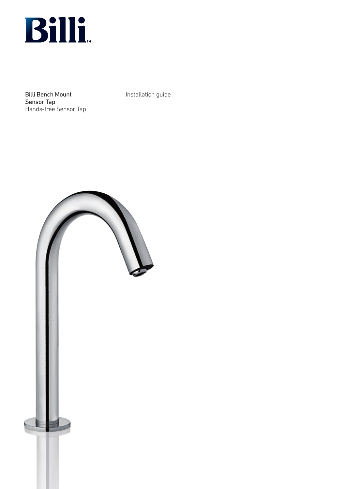

Billi Bench Mount Sensor Tap Hands-free Sensor Tap Installation guide

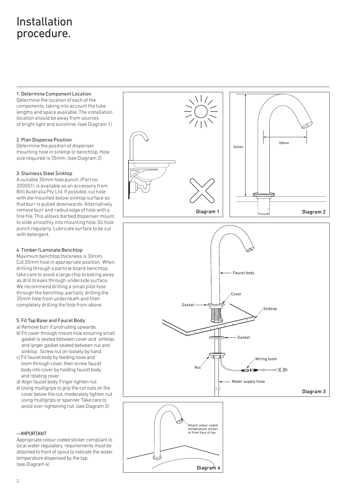# Installation procedure.

1.Determine Component Location

Determine the location of each of the components, taking into account the tube lengths and space available. The installation location should be away from sources of bright light and sunshine. (see Diagram 1)

### 2.Plan Dispense Position

Determine the position of dispenser mounting hole in sinktop or benchtop. Hole size required is 35mm. (see Diagram 2)

## 3.Stainless Steel Sinktop

A suitable 35mm hole punch, (Part no: 200001) is available as an accessory from Billi Australia Pty Ltd. If possible, cut hole with die mounted below sinktop surface so that burr is pulled downwards. Alternatively remove burr and radius edge of hole with a fine file. This allows barbed dispenser mount to slide smoothly into mounting hole. Oil hole punch regularly. Lubricate surface to be cut with detergent.

## 4. Timber/Laminate Benchtop

Maximum benchtop thickness is 30mm. Cut 35mm hole in appropriate position. When drilling through a particle board benchtop, take care to avoid a large chip breaking away as drill breaks through underside surface. We recommend drilling a small pilot hole through the benchtop, partially drilling the 35mm hole from underneath and then completely drilling the hole from above.

## 5. Fit Tap Base and Faucet Body

- a) Remove burr if protruding upwards.
- b) Fit cover through mount hole ensuring small gasket is seated between cover and sinktop, and larger gasket seated between nut and sinktop . Screw nut on loosely by hand.
- c) Fit faucet body by feeding hose and loom through cover, then screw faucet body into cover by holding faucet body and rotating cover.
- d) Align faucet body. Finger tighten nut
- e) Using multigrips to grip the cut outs on the cover below the nut, moderately tighten nut using multigrips or spanner. Take care to avoid over-tightening nut. (see Diagram 3)

## $-$ IMPORTANT

Appropriate colour coded sticker compliant to local water regulatory requirements must be attached to front of spout to indicate the water temperature dispensed by the tap. (see Diagram 4)



Diagram 4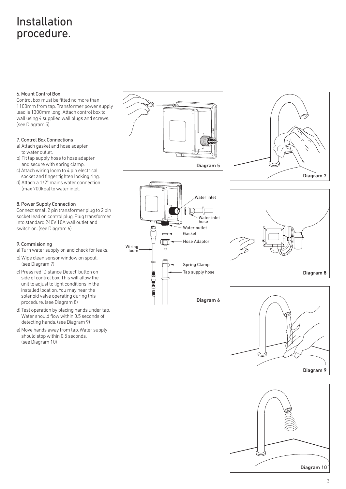# Installation procedure.

### 6. Mount Control Box

Control box must be fitted no more than 1100mm from tap. Transformer power supply lead is 1300mm long. Attach control box to wall using 4 supplied wall plugs and screws. (see Diagram 5)

#### 7. Control Box Connections

- a) Attach gasket and hose adapter to water outlet.
- b) Fit tap supply hose to hose adapter and secure with spring clamp.
- c) Attach wiring loom to 4 pin electrical socket and finger tighten locking ring.
- d) Attach a 1/2" mains water connection (max 700kpa) to water inlet.

### 8. Power Supply Connection

Connect small 2 pin transformer plug to 2 pin socket lead on control plug. Plug transformer into standard 240V 10A wall outlet and switch on. (see Diagram 6)

### 9. Commisioning

- a) Turn water supply on and check for leaks.
- b) Wipe clean sensor window on spout. (see Diagram 7)
- c) Press red 'Distance Detect' button on side of control box. This will allow the unit to adjust to light conditions in the installed location. You may hear the solenoid valve operating during this procedure. (see Diagram 8)
- d) Test operation by placing hands under tap. Water should flow within 0.5 seconds of detecting hands. (see Diagram 9)
- e) Move hands away from tap. Water supply should stop within 0.5 seconds. (see Diagram 10)